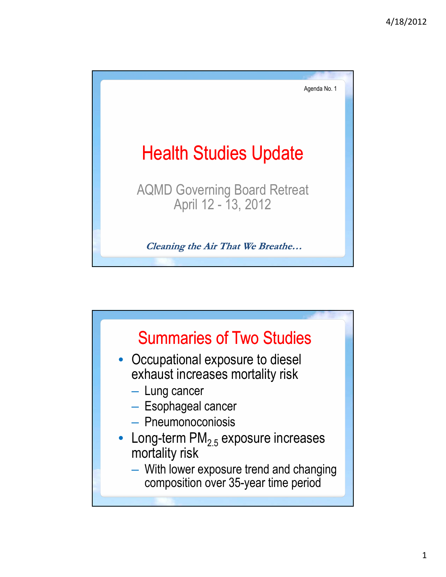

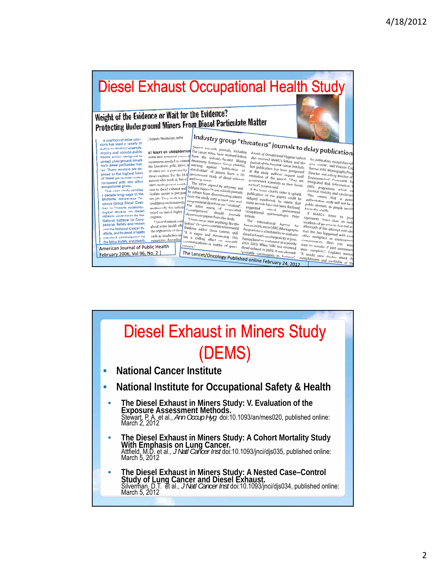## Diesel Exhaust Occupational Health Study Weight of the Evidence or Wait for the Evidence? **Protecting Underground Miners From Diesel Particulate Matter**  $\left| \frac{\text{Industry group "threatens" journals to delay publication}}{\text{The direct title, journey.} } \right|$ Celeste Monforton, MPH A coalition of mine operators has used a variety of<br>tactics to obstruct scientific<br>inquiry and impede public **AT MARY US UNDERGROUN** The lance circles science of the appear science of the appear of the space of the science of the space of the space of the space of the space of the space of the space of the space of the space of Several scientific journals, including Annals of Occupational Hygiene (which for **publication**<br>The Lancet triles, have received letters also received MARG's letter) and the industry-funded white show received MARG's letter inquiry and impour pure<br>protect underground miners<br>from diesel particulate mate-<br>from diesel particulate mate-<br>posed to the highest level<br>of diesel particulate matter<br>of diesel particulate matter or publication, except througher<br>peer review", said Vincent Co<br>former IARC Monographs Pro are nonceonarity and the physical materials of the Hall of physical materials and the study at the study and the second of the study and the study and between the part of distribution of the part of distribution of the s Director and acting director<br>Director and acting director compared with any other<br>occupational group.<br>This case study profiles a decade-long saga of the a decade long saga oi me<br>
Mottane Awareness Re<br>
source Group Diesel Coali-<br>
tion to Impade opldemic-<br>
logical studies on diesel<br>
extracts undertaken by the<br>
Mational Institute (or Occu-<br>
pational Safely and Health<br>
that Ma and the National Cancer in-<br>stitute, and to derail a health<br>standard promulgated by the Mine Safety and Health American Journal of Public Health The Lancet/Oncology Published online February 24, 2012 February 2006, Vol 96, No. 2 completeness and credibility of the

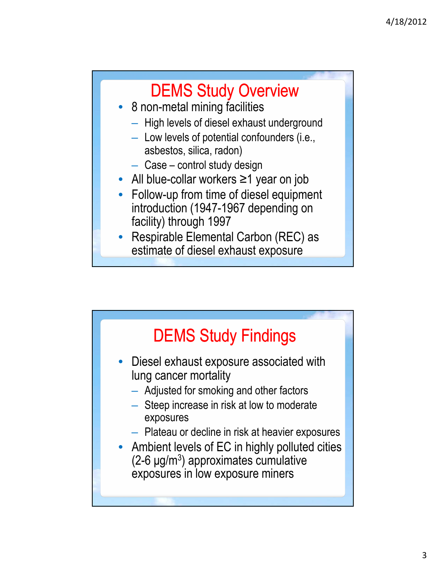## DEMS Study Overview

- 8 non-metal mining facilities
	- High levels of diesel exhaust underground
	- $-$  Low levels of potential confounders (i.e., asbestos, silica, radon)
	- Case control study design
- All blue-collar workers ≥1 year on job
- Follow-up from time of diesel equipment introduction (1947-1967 depending on facility) through 1997
- Respirable Elemental Carbon (REC) as estimate of diesel exhaust exposure

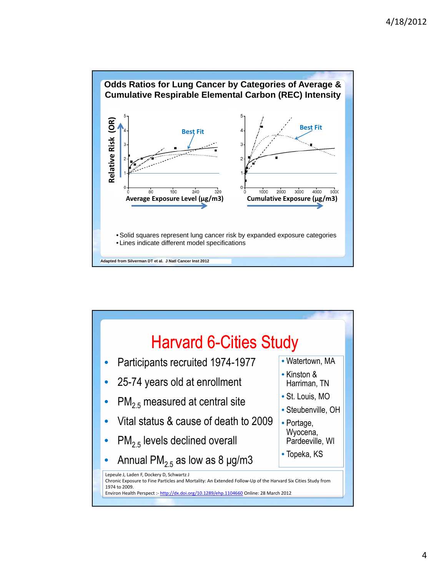